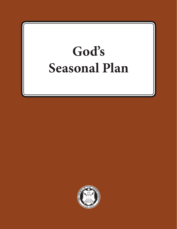# **God's Seasonal Plan**

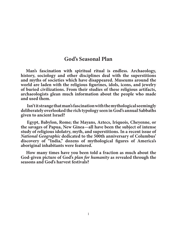## **God's Seasonal Plan**

**Man's fascination with spiritual ritual is endless. Archaeology, history, sociology and other disciplines deal with the superstitions and myths of societies which have disappeared. Museums around the world are laden with the religious figurines, idols, icons, and jewelry of buried civilizations. From their studies of these religious artifacts, archaeologists glean much information about the people who made and used them.** 

**Isn't it strange that man's fascination with the mythological seemingly deliberately overlooked the rich typology seen in God's annual Sabbaths given to ancient Israel?** 

**Egypt, Babylon, Rome; the Mayans, Aztecs, Iriquois, Cheyenne, or the savages of Papua, New Ginea—all have been the subject of intense study of religious idolatry, myth, and superstitions. In a recent issue of**  *National Geographic* **dedicated to the 500th anniversary of Columbus' discovery of "India," dozens of mythological figures of America's aboriginal inhabitants were featured.** 

**How many times have you been told a fraction as much about the God-given picture of God's** *plan for humanity* **as revealed through the seasons and God's harvest festivals?**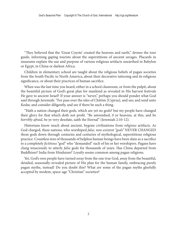"They believed that the 'Great Coyote' created the heavens and earth," drones the tour guide, informing gaping tourists about the superstitions of ancient savages. Placards in museums explain the use and purpose of various religious artifacts unearthed in Babylon or Egypt, in China or darkest Africa.

Children in elementary school are taught about the religious beliefs of pagan societies from the South Pacific to North America, about their decorative tattooing and its religious significance, or about their practices of human sacrifice.

When was the last time you heard, either in a school classroom, or from the pulpit, about the beautiful picture of God's great plan for mankind as revealed in His harvest festivals He gave to ancient Israel? If your answer is "never," perhaps you should ponder what God said through Jeremiah: "For pass over the isles of Chittim [Cyprus], and see; and send unto Kedar, and consider diligently, and see if there be such a thing.

"Hath a nation changed their gods, which are yet no gods? but my people have changed their glory for that which doth not profit. "Be astonished, *0* ye heavens, at this, and be *horribly afraid,* be ye very desolate, saith the Eternal" (Jeremiah 2:10-12).

Historians know much about ancient, bygone civilizations from *religious* artifacts. As God charged, these nations, who worshiped *false, non-existent "gods"* NEVER CHANGED those gods down through centuries and centuries of mythological, superstitious religious practice. Countless tens of thousands of helpless human beings have been slain as a sacrifice to a completely *fictitious* "god" who "demanded" such of his or her worshipers. Pagans have clung tenaciously to utterly *false* gods for thousands of years. Has China departed from Buddhism? India from Hinduism? *Loyalty* seems common among pagan religions.

Yet, God's own people have turned *away* from the one true God, away from the beautiful, detailed, seasonally-revealed picture of His plan for the human family, embracing purely pagan myths, instead! Do you doubt this? What *are* some of the pagan myths gleefully accepted by modem, space-age "Christian" societies?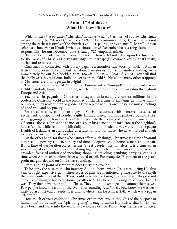## **Annual "Holidays"**: **What Do They Picture**?

Which is the *chief* so-called "Christian" holiday? Why, "*Christmas*," of course. Christmas means, simply, the "Mass of Christ." *The Catholic Encyclopedia* admits, "Christmas was not among the earliest festivals of the church" (Vol. 111, p. 724), and explains, ''The well-known *solar* feast, however, of Natalis Invicti, celebrated on 25 December, has a strong claim on the responsibility for our December date" (*ibid*., p. 727, emphasis mine).

History documents that the Roman Catholic Church did not settle upon the final date for the "Mass of Christ" as Christ's *birthday* until perhaps *five centuries* after Christ's death, burial, and resurrection.

Christmas is connected with purely pagan ceremonies: sun worship, ancient Roman festivals, and even more ancient Babylonian mysteries. For a full understanding, write immediately for our free booklet, *Facts You Should Know About Christmas*. You will find that holly wreaths, mistletoe, bulbs and orbs, trees, "Old St. Nick," and many other trappings of Christmas are utterly *pagan* in origin!

The little tree represented Nimrod, or Tammuz—the "sun-god." Bulbs and orbs were fertility symbols, hanging on the tree, which is found as an object of worship throughout Europe and Asia.

Yet, for all its paganism, Christmas is eagerly embraced by countless millions in the professing Christian world as the birthday of Christ; a time to exchange gifts, have family reunions, enjoy roast turkey or goose; a time replete with its own nostalgic music, feelings of good will, and hospitality.

For those wealthy enough to enjoy it, Christmas comes with a marvelous sense of excitement: anticipation of wondrous gifts, family and neighborhood parties around the tree, with egg-nogs and "Tom and Jerrys" helping create the feelings of cheer and camaraderie. Of course, there is always the chance of a stolen kiss beneath the mistletoe at the neighbor's house (all the while remaining blissfully ignorant that mistletoe was viewed by the pagan Druids of Ireland as an aphrodisiac, a fertility symbol) for those who have imbibed enough to be experiencing "Christmas cheer."

On the other hand, for those who cannot afford such things, Christmas is a time of painful contrasts—a poverty-ridden, hungry, sad time of deprival, cold, homelessness, and despair. It is a time of desperation for America's "street people," the homeless. It is a time when suicide statistics soar; a time of horrifying highway death and injury—a riotous, frenetic, crowded, frenzied outburst of spending, shopping, traveling, drinking, partying, eating; a time when America's retailers either succeed or fail. For many, 50-75 percent of the year's profit margins depend on Christmas spending,

From a child's point of view, what does Christmas teach?

To be sure, the wise men who journeyed to the house where Jesus was during His first year brought expensive gifts. Three types of gifts are mentioned, giving rise to the myth there were only three of them. There could have been a dozen, or any number. They did not come to the manger, but to the house (Matthew 2:11) where the "young child" (not "baby") was. They then gave their gifts to Christ. They did not exchange gifts among themselves. Few people know the truth of the events surrounding Jesus' birth. Few know He was very likely born at the end of September, and nowhere near December 25th, which was a pagan celebration.

How much of your childhood Christmas experience evokes thoughts of the purpose of human life? To be sure, the "spirit of giving" is taught, which is positive. That Christ was truly born, and came into the world as Savior, is positive. Family togetherness is positive.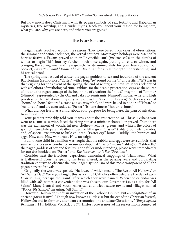But how much does Christmas, with its pagan symbols of sex, fertility, and Babylonian mysteries; tree worship, and Druidic myths, teach you about your reason for being here, what you are, why you are here, and where you are going?

#### **The Four Seasons**

Pagan feasts revolved around the seasons. They were based upon celestial observations, the summer and winter solstices, the vernal equinox. Most pagan holidays were essentially harvest festivals. Pagans prayed to their ''invincible sun" (*invictus solis*) in the depths of winter to begin "his" journey further north once again, putting an end to winter, and bringing the springtime, and new growth. Write immediately for your free copy of our booklet, *Facts You Should Know About Christmas*, for a real in-depth understanding, and historical proof.

The springtime festival of *Ishtar*, the pagan goddess of sex and fecundity of the ancient Babylonians (pronounced "Easter," with a long "ee" sound on the "I" and a silent "h.") was in thanksgiving for the advent of the spring, the end of winter, and new life. It was celebrated with a plethora of mythological ritual: rabbits, for their rapid procreation; eggs, as the source of life and the pagan concept of the beginning of creation; the "bous," or symbol of Tammuz (Nimrod), represented by the Ox, and cakes to Semiramis, Nimrod's mother-wife, and high priestess of the Babylonian mystery religion, as the "queen of Heaven," Such cakes, called "boun," or "bous," featured a *cross*, as a solar symbol, and were baked in honor of "Ishtar," or "Ashtoreth," and are seen today at "Easter" (Ishtar) time as "hot cross buns."

What did you learn, as a child, about your purpose for being here, the plan of salvation, from "Easter"?

Your parents probably told you it was about the resurrection of Christ. Perhaps you went to a sunrise service, faced the rising sun as a minister chanted or prayed. Then there was the excitement of wonderful new clothes—yellows, greens, and whites, the colors of springtime—white patent-leather shoes for little girls; "Easter" (Ishtar) bonnets, parades, and, of special excitement to little children, "Easter egg" hunts! Cuddly little bunnies and eggs. How cute. How wondrous. How nostalgic.

But not one child in a million was taught that the rabbits and eggs were sex symbols; that sunrise services were conducted in sun worship; that "Easter" means "Ishtar," or "Ashtoreth," the pagan goddess of sex and fertility. For a fuller understanding, please write immediately for our *free* booklets on "Easter" and *The Passover—ls It For Christians?*

Consider next the frivolous, capricious, demoniacal trappings of "Halloween." What is Halloween? Even the spelling has been altered, as the passing years and obfuscating tradition contrive to obscure the true, pagan symbolism of this most transparent of all the pagan harvest festivals.

Originally, the word was spelled, "Hallowe'en," which meant "The Eve of All Hallows," or "All Saints Day." Were you taught this as a child? Catholics often celebrate the day of *their favorite saint*, perhaps the "saint" after which they were named, When the calendar was filled with 365 names, a convenient date was chosen, our November 1st, as a day for "All Saints." Many Central and South American countries feature towns and villages named "Todos 10s Santos," meaning, "All Saints."

However, Halloween is not an invention of the Catholic Church, but an *adaptation* of an ancient, *pagan* festival. "Though now known as little else but the eve of the Christian festival, Hallowe'en and its formerly attendant ceremonies long antedate Christianity" (*Encyclopedia Britannica*, 11th Edition, Vol, XII, p, 857). History proves most of the superstitions connected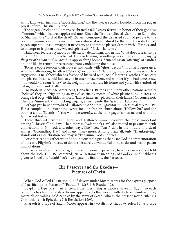with Halloween, including "apple ducking," and the like, are purely Druidic, from the pagan priests of pre-Christian Ireland.

The pagan Greeks and Romans celebrated a fall *harvest* festival in honor of their goddess "Pomona," which featured apples and nuts. Since the Druids believed "Saman," or Samhain, or Shaman, the "lord of the dead" (Satan), consigned the departed souls of people to the bodies of animals as punishment for wickedness, it was natural for them, in their darkened, pagan superstitions, to imagine it necessary to attempt to placate Saman with offerings, and to attempt to frighten away wicked spirits with "Jack o' lanterns."

Halloween features symbols of witchcraft, demonism, and *death.* What does it teach little children? The common practice of "trick or treating" is nothing more than children *playing the part of Saman and his demons,* approaching homes, demanding an "offering" of candies and the like in return for refraining from vandalizing the house!

Today, people festoon their houses and yards with "ghost decoys," in blissful ignorance. Are they attempting to attract "ghosts," or demons? Naturally, were you to make such a suggestion, a neighbor who has festooned his yard with Jack o' lanterns, witches, black cats and plastic ghosts would look at you in utter amazement, and wonder if you had gone crazy.

It would *not* seem *"crazy"* to the neighbor to decorate his home and yard with symbols of Satan, demons, and death.

Do modern space-age Americans, Canadians, Britons and many other nations actually "believe" they are frightening away evil spirits by pieces of white plastic hung in trees, or orange leaf bags with hideous faces, "Jack o' lanterns," placed on their lawns? Of course not. They are "innocently" mimicking pagans, entering into the "spirit of Halloween."

Perhaps you have not realized Halloween is the *most important annual festival to Satanists.*  For a complete understanding, write for our free brochure about "Hallowe'en," and the booklet about "Satanism," You will be *astounded* at the rank paganism associated with this fall harvest festival!

These three—Christmas, Easter, and Halloween—are probably the most important among "Christian" holidays. Then there is "Valentine's Day," also rooted in paganism, with connections to Nimrod, and other days, like "New Year's" day, in the middle of a dead winter; "Groundhog Day," and many, many more. Among them all, only "Thanksgiving" stands out as a celebration one may safely assume God endorses.

For Americans to gather around a bounteous table, giving thanks to God in commemoration ' of the early Pilgrim's practice of doing so is surely a wonderful thing to do, and has no pagan connotations.

But *why,* in all your church-going and religious experience, have you never been told about the rich, CHRIST-centered, NEW Testament meanings of God's annual Sabbaths given to Israel and Judah? Let's investigate the first one, the Passover.

## **The Passover and the Exodus**— **Pictures of Christ**

When God called His nation out of slavery under Moses, it was for the express purpose of "sacrificing the 'Passover"' (Exodus 3: 18; 5:1-3; Exodus 12).

Egypt is a type of sin. As ancient Israel was living as captive slaves in Egypt, so each one of us has lived as a slave to our appetites; to this world, with its false, vanity-ridden, materialistic values; held captive by the sway of Satan, who is the present world ruler (II Corinthians 4:4; Ephesians 2:2; Revelation 12:9).

Pharaoh is a type of Satan. Moses appears in two distinct shadowy roles: (1) as a type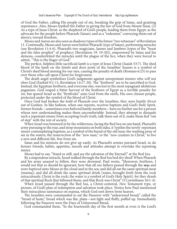of God the Father, calling His people out of sin, breaking the grip of Satan, and granting repentance. Also, Moses typified the Father in giving the law of God from Mount Sinai, (2) As a type of Jesus Christ: as the shepherd of God's people, leading them from Egypt; as the advocate for the people before Pharaoh (Satan); and as a "redeemer," conveying them out of slavery, toward freedom.

Moses and Aaron are also seen as shadowy types of the future "two witnesses" of Revelation 11. Continually, Moses and Aaron went before Pharaoh (type of Satan), performing miracles (see Revelation 11:4-6). Pharaoh's two magicians, Jannes and Jambres (types of the "beast and the false prophet" of prophecy [Revelation 19: 19-20]), empowered by Satan and his demons, counterfeited the miracles until the plague of the lice, when they were forced to admit, "This is the finger of God."

The perfect, helpless little sacrificial lamb is a type of Jesus Christ (Isaiah 53:7). The shed blood of the lamb on the lintels and door posts of the Israelites' houses is a symbol of Christ's shed blood atoning for our sins, causing the penalty of death (Romans 6:23) to pass over those who call upon Christ for forgiveness.

The death angel symbolizes God's judgments against unrepentant sinners who *will* not obey God (Ezekiel 9:2-11; Revelation 14:17-20). The "firstborn" are to be sanctified to God. Instead, the Egyptian firstborn, and everyone else, was lost in the most repugnant idolatrous paganism. God reaped a bitter harvest of the firstborn of Egypt as a terrible penalty for *sin*, but spared Israel as the "firstfruits" unto God from the earth, His own chosen people, protected under the symbol of the blood of Christ.

Once God had broken the hold of Pharaoh over the Israelites, they were hastily *thrust*  out of Goshen. In like fashion, when one repents, receives baptism and God's Holy Spirit, former friends—sometimes even beloved family members—have no further use for a person whose new understanding makes them uncomfortable. Instead, they attempt to dissuade such a repentant sinner from accepting God's truth, talk them out of it, make them feel "out of step" with the rest of society.

When Israel was hemmed in by the wilderness, facing the Red Sea on one hand, Pharaoh's army pursuing to the rear, and steep mountains on both sides, it 'typifies the newly-repentant sinner contemplating baptism, as a symbol of the burial of the old man; the washing away of sin in the waters; the resurrection of the "new man," or the "new creature in Christ," to live a new and different life, free from sin.

Satan and his minions do not give up easily. As Pharaoh's armies pursued Israel, so do former friends, habits, appetites, moods and attitudes attempt to overtake the repenting sinner.

Moses had to say, "Stand ye still, and see the salvation of the Eternal!" at the Red Sea.

By a stupendous miracle, Israel walked through the Red Sea bed dry shod! When Pharaoh and his army assayed to follow, they were drowned. Paul wrote, "Moreover, brethren, I would not that ye should be ignorant, how that all our fathers passed through the **sea;** and were *baptized* unto Moses in the cloud and in the sea; and did all eat the same spiritual meat [manna]; and did all drink the same spiritual drink [water, brought forth from the rock miraculously, Christ is the rock; the water is a symbol of God's Holy Spirit]: for they drank of that spiritual Rock that followed them: and that Rock was Christ" (I Corinthians 10:1-4).

When Israel passed through the Red Sea, a Christ-centered, *New* Testament type, or picture, of God's plan of redemption and salvation took place. Notice how Paul mentioned their miraculous sustenance on manna, which God sent down from heaven.

The Israelites were commanded to eat the Passover with "unleavened bread," called the "bread of haste," bread which was flat, plain—not light and fluffy, puffed up. Immediately following the Passover were the Days of Unleavened Bread.

God commanded them, "In the fourteenth day of the first month at even is the Lord's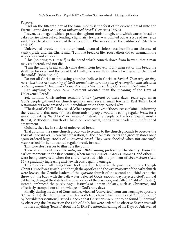Passover.

"And on the fifteenth day of the same month is the feast of unleavened bread unto the Eternal: *seven days ye must eat unleavened bread"* (Leviticus 23:5,6).

Leaven, as an agent which spreads throughout moist dough, and which causes bread or cakes to rise when baked, lending a light, airy texture, was pointed out as a type of *sin.* Jesus said, "Take heed and beware of the *leaven* of the Pharisees and of the Sadducees" (Matthew 16:5-12).

Unleavened bread, on the other hand, pictured sinlessness; humility, an absence of vanity, pride, and sin. Christ said, "I am that bread of life, Your fathers did eat manna in the wilderness, and are dead.

"This [pointing to Himself] is the bread which cometh down from heaven, that a man may eat thereof, and not die.

"I am the living bread which came down from heaven: if any man eat of this bread, he shall live for ever: and the bread that I will give is my flesh, which I will give for the life of the world" (John 648-51).

Do not all Christian-professing churches believe in Christ as Savior? *Then why do they never teach the rich meaning of God's annual holy days-the plan of redemption and salvation centering around Christ and His sacrifice as pictured in each of God's annual Sabbaths?* 

Can anything be more *New* Testament oriented than the meaning of the Days of Unleavened Bread?

Yet, nominal Christendom remains *totally ignorant* of these days. Years ago, when God's people gathered on church grounds near several small towns in East Texas, local restauranteers were amazed and incredulous when they learned why.

"The days of WHAT?" they asked. When representatives of the church explained, informing the restaurants that none of these thousands of people would be eating regular *bread* for a week, but eating "hard tack" or "matzos" instead, the people of the local towns, mostly Baptist, Methodist, Church of Christ, or Pentecostal, shook their heads in dumbfounded amazement.

Quickly, they lay in stocks of unleavened bread.

That autumn, the same church group was to return to the church grounds to observe the *Feast of Tabernacles.* In careful preparation, all the local restaurants and grocery stores once again ordered large stocks of *unleavened bread.* They were shocked when not *one single person* asked for it, but wanted regular bread, instead!

This true story serves to illustrate the point.

There is an incontrovertible *anti-Judeo BIAS* among professing Christianity! From the earliest moments in the first century, when many *Gentiles—*Greeks*,* Romans, and others were being converted, when the church wrestled with the problem of *circumcision* (Acts 15), a gradually increasing anti-Jewish bias began to emerge.

This rejection of all things Jewish took quantum leaps over the passing centuries. Though Christ Himself was Jewish, and though the apostles and the vast majority of the early church were Jewish, the Gentile leaders of the *apostate* church of the second and third centuries threw out the baby with the bath water: rejected God's Sabbath day; rejected God's annual Sabbaths; changed the date for the observance of the Passover, and called it "Ishtar" (Easter), instead; embraced the purely *pagan* festivals of Roman idolatry, such as Christmas, and effectively stamped out all knowledge of God's holy days.

Finally, during the days of Constantine, who had "converted" from sun worship to apostate "Christianity," the then *visible* church (God's true church had been forced "underground" by horrible persecutions) issued a decree that Christians were not to be found "Judaizing" by observing the Passover on the 14th of Abib, but were ordered to observe *Easter,* instead!

Is there anything "Jewish" about the CHRIST-centered meaning of the Days of Unleavened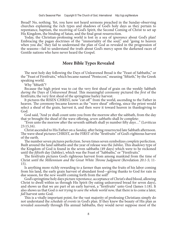Bread? No, nothing. Yet, you have not heard sermons preached in the Sunday-observing churches explaining the rich types and shadows of God's holy days as they pertain to repentance, baptism, the receiving of God's Spirit, the Second Coming of Christ to set up His Kingdom, the binding of Satan, and the final great resurrection.

Today, the Christian-professing world is lost in a sea of *ignorance* about God's plan! Embracing the pagan doctrines of the "immortality of the soul," and "going to heaven when you die," they fail to understand the plan of God as revealed in the progression of the seasons—fail to understand the truth about God's mercy upon the darkened races of Gentile nations who have never heard the Gospel.

## **More Bible Types Revealed**

The next holy day following the Days of Unleavened Bread is the "Feast of Sabbaths," or the "Feast of Firstfruits," which became named "Pentecost," meaning "fiftieth," by the Greek speaking world.

Why "fiftieth"?

Because the high priest was to cut the very first sheaf of grain on the weekly Sabbath *during the* Days *of Unleavened Bread.* This meaningful ceremony pictured the *first* of the firstfruits; the very first sheaf of the springtime barley harvest.

It pictures the RISEN CHRIST, now "cut off " from the world, ascending to the Father in heaven. The ceremony became known as the "wave sheaf' offering, since the priest would select a sheaf of the grain, harvest it, and then *wave* it toward heaven in thanksgiving to God.

God said, "And ye shall count unto you from the morrow after the sabbath, from the day that ye brought the sheaf of the wave offering, *seven sabbaths* shall *be* complete:

"Even unto the morrow after the seventh sabbath shall ye number fifty *days*…" (Leviticus 23:15,16).

Christ ascended to His Father on a *Sunday,* after being resurrected late Sabbath afternoon. The wave sheaf pictures CHRIST, as the FIRST of the "firstfruits" of God's righteous harvest of the earth.

The number seven pictures perfection. Seven times seven symbolizes *complete* perfection. Built around the land sabbaths and the year of release was the *Jubilee,* This shadowy type of the Kingdom of God is found in the seven sabbaths (49 days) which were to be reckoned until the *fiftieth* day (Jubilee), which was the Feast of "Sabbaths," or "Firstfruits."

The firstfruits pictures God's righteous harvest from among mankind from the time of Christ *until the Millennium and the Great White Throne Judgment* (Revelation *20:1-5;* 11- 15).

Is anything more richly rewarding to a farmer than seeing the fruits of his labor coming from his land, the early grain harvest of abundant food—giving thanks to God for rain in due season, for the *new wealth* coming forth from the soil?

God's springtime holy days picture *repentance,* acceptance of Christ's shed blood, allowing Christ to dwell within us through His Spirit (by eating unleavened bread for seven days), and shows us that we are part of an early harvest, a "firstfruits" unto God (James 1:18). It also shows us that God *is not trying to save the whole world now,* that there is to come a later, *fall* harvest unto God.

This is a vitally important point, for the vast majority of professing Christians simply do not understand the *schedule of events* in God's plan. If they knew the beauty of His plan as revealed *seasonally* through His annual Sabbaths, they would never suppose most of the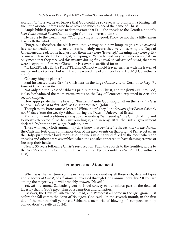world is *lost* forever, never believe that God could be so cruel as to punish, in a blazing hell fire, little oriental infants who have never so much as heard the name of Christ.

Ample biblical proof exists to demonstrate that Paul, the apostle to the Gentiles, not only *kept God's annual Sabbaths,* but taught Gentile converts to do so.

He wrote to the Corinthians, "Your glorying is not good. Know ye not that a little leaven leaveneth the whole lump?

"Purge out therefore the old leaven, that ye may be a new lump, *as ye are unleavened* [a clear contradiction of terms, unless he plainly means they were observing the Days of Unleavened Bread, for he had just told them they were "leavened," meaning they were guilty of sins which needed to be purged, or expunged. When he said "as ye are unleavened," it can only mean that they received this missive *during the Festival of Unleavened Bread*, that they were keeping it!]. For even Christ our Passover is sacrificed for us:

"THEREFORE LET US KEEP THE FEAST, not with old leaven, neither with the leaven of malice and wickedness; but with the unleavened bread of sincerity and truth" (I Corinthians 5:6-8).

Can anything be plainer?

Paul instructed these *Gentile* Christians in the large *Gentile* city of Corinth to *keep the Feast of Unleavened Bread*!

Not only did the Feast of Sabbaths picture the risen Christ, and the *firstfruits* unto God, it also forshadowed the momentous events on the Day of Pentecost, explained in Acts, the second chapter.

How appropriate that the Feast of "Firstfruits" unto God should fall on the *very day God sent His Holy Spirit to this earth*, as Christ promised! (John 16:7).

Though many Protestants celebrate "Whitsunday," they do so *50 days after Easter* (Ishtar), not 50 days from the weekly Sabbath during the Days of Unleavened Bread.

Many myths and traditions sprang up surrounding "Whitsunday." The Church of England formerly celebrated *three* days surrounding it, and in May, 1871, the British government declared "Whitmonday" a legal bank holiday.

Those who keep God's annual holy days know that *Pentecost* is the *birthday of the church*, the Christian festival in commemoration of the great events on that original Pentecost when the Holy Spirit, with a loud, roaring sound like a rushing wind, filled all the room where the apostles and others were assembled, when the apostles appeared to have flaming crowns of fire atop their heads.

Nearly 30 years following Christ's resurrection, Paul, the apostle to the Gentiles, wrote to the *Gentile* church in Corinth, "But I will tarry at Ephesus until *Pentecost*" (I Corinthians 16:8).

#### **Trumpets and Atonement**

When was the last time you heard a sermon expounding all these rich, detailed types and shadows of *Christ*, of *salvation*, as revealed through God's annual holy days? If you are among the majority, you will probably answer, "Never! "

Yet, *all* the annual Sabbaths given to Israel convey to our minds part of the detailed tapestry that is God's great plan of redemption and salvation.

Passover, the Days of Unleavened Bread, and Pentecost all come in the *springtime*. Just before the fall comes the *Feast of Trumpets*. God said, "In the seventh month, in the first day of the month, shall ye have a Sabbath, a memorial of blowing of trumpets, an holy convocation" (Leviticus 23:24).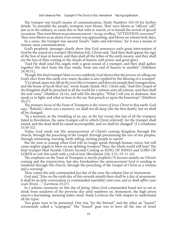The trumpet was Israel's means of communication, Study Numbers 10:l-10 for further details. To assemble the people, trumpets were blown, They were blown as "officers' call," just as in the military, to cause this or that tribe to march, or to herald the arrival of special occasions. They were blown as an *announcement*—to say, in effect, "ATTENTION, everyone!" They were blown as an alarm if an enemy was approaching, and blown on solemn holy days,

In a sense, the trumpet was ancient Israel's "radio and television," for it was a means of instant, mass communication.

God's prophetic messages clearly show that God *announces* each great intervention of God by the sound of a *trumpet* (Revelation 8:6). Christ said, "And then shall appear the sign of the Son of man in heaven: and then shall all the tribes of the earth mourn, and they shall see the Son of Man coming in the clouds of heaven with power and great glory.

"And He shall send His angels with a great sound of a trumpet, and they shall gather together His elect from the four winds, from one end of heaven to another" (Matthew 24:30,31),

Though this final trumpet blast occurs suddenly, God shows that the *process* of calling out God's elect from this earth over many decades is *also* typified by the blowing of a trumpet!

"Cry aloud, spare not, *lift up thy voice like a trumpet*, and shew my people their transgression, and the house of Jacob their sin," wrote Isaiah (Isaiah 58:l). Christ said, "And this Gospel of the Kingdom shall be preached in all the world for a witness unto all nations, and then shall the end come" (Matthew 24:14), and told His disciples, "What I tell you in darkness, that speak ye in light: and what ye hear in the ear, that preach ye upon the housetops" (Matthew 10:27).

The primary focus of the Feast of Trumpets is the *return of Jesus Christ* to this earth. God says, "Behold, I shew you a mystery; we shall not all sleep [die the first death], but we shall all be changed,

"In a moment, in the twinkling of an eye, *at the last trump* [the last of all the trumpets listed in Revelation, the same trumpet call to which Christ referred]: for the trumpet shall sound, and the dead shall be raised incorruptible, and we shall be changed" (I Corinthians 15:50-52).

Today, God sends out His *announcement* of Christ's coming Kingdom through His church, through the preaching of the Gospel, through proclaiming the *sins* of our peoples, through witnessing, warning, forth-telling, inviting people to *repent!* 

But the time is coming when God will no longer speak through human voices, but will cause mighty angels to blow on ear-splitting *trumpets!* Then, the whole world will hear! The final trumpet blast heralds Christ's Second Coming as KING OF KINGS and LORD OF LORDS to *rule* this earth with a rod of iron (Revelation 226; 3:21; 19: 11-16).

The emphasis on the Feast of Trumpets is *mostly prophetic!* It focuses mainly on Christ's coming and the resurrection, but also foreshadows the *announcement* God is sending to mankind through His church, through the preaching of the Gospel of Christ as a witness and a warning!

Then comes the only commanded *fast* day of the year, the solemn Day of Atonement.

God said, "Also on the tenth day of this seventh month there shall be a day of atonement: it shall be an holy convocation [a commanded assembly] unto you; and ye shall *afflict your souls* [lives]…" (Leviticus 23:27).

In a solemn ceremony on this day of *fating,* when God commanded Israel not to eat or drink from sundown of the previous day until sundown on Atonement, the high priest enacts a fascinating, meaning-laden ritual. Study Leviticus the 16th chapter to understand all the types.

Two goats were to be presented. One was "for the Eternal," and the other an "Azazel," erroneously called a "scapegoat." The "Azazel" goat was to have all the sins of Israel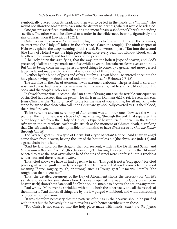symbolically placed upon its head, and then was to be led in the hands of a "fit man" who would not allow the goat to turn back into the distant wilderness, where it would be released.

One goat was sacrificed, symbolizing an atonement for sin, a shadow of Christ's impending sacrifice. The other was to be allowed to wander in the wilderness, bearing, figuratively, the sins of Israel upon it (Leviticus 16:21).

Only *once* in the year was Aaron, and the high priests to follow him through the centuries, to enter into the "Holy of Holies" in the tabernacle (later, the temple). The ninth chapter of Hebrews explains the deep meaning of this ritual. Paul wrote, in part, "But into the second [the Holy of Holies] went the high priest alone once every year, not without blood, which he offered for himself, and for the errors of the people:

"The Holy Spirit this signifying, that the way into the holiest [type of heaven, and God's presence] of all was not yet made manifest, while as yet the first tabernacle was yet standing… But Christ being come an high priest of good things to come, by a greater and more perfect tabernacle, not made with hands, that is to say, not of this building;

"Neither by the blood of goats and calves, but by His own blood He entered once into the holy place, having obtained eternal redemption for us…" (Hebrews 9:7-12).

The sacrifice on the Day of Atonement was extremely elaborate. The priest had to carefully wash and dress, had to sacrifice an animal for his own sins, had to sprinkle blood upon the book and the people (Hebrews 9:19).

In this elaborate ritual, accomplished on a day of *fasting*, one sees the terrible consequences of sin. God has decreed that the penalty for sin is *death* (Romans 6:23). Yet, He sent His Son, Jesus Christ, as the "Lamb of God" to die for the sins of you and me, for all mankind—to atone for sin so that those who call upon Christ are symbolically covered by His shed blood, their sins forgiven.

To be sure, the ancient ceremony of Atonement was a bloody one. Now, see the whole picture: The high priest was a type of *Christ*, entering "through the veil" that separated the outer holy place from the "Holy of Holies," a type of heaven itself. The veil in the temple *split* when the miraculous earthquake struck at the moment of Christ's death, signifying that Christ's death had made it possible for mankind to have *direct access to God the Father* through Christ!

The "Azazel" goat is *not* a type of Christ, but a type of Satan! Notice: "And I saw an angel come down from heaven, having the key of the bottomless pit [the abyss: see Jude 13] and a great chain in his hand.

"And he laid hold on the dragon, that old serpent, which is the Devil, and Satan, and *bound him a thousand years*" (Revelation 20:1,2). This angel was pictured by the "fit man" selected to take the goat over whose head the sins of Israel were confessed into a trackless wilderness, and there release it, *alive.*

Thus, God shows we have all had a *partner* in sin! This goat is not a "scapegoat," for God places guilt where guilt squarely belongs! The Hebrew word "Azazel" comes from a word meaning "fierce, mighty, rough, or strong," such as "rough goat." It means, literally, "the rough goat that is sent out."

Thus, the detailed ceremony of the Day of Atonement shows the necessity for Christ's sacrifice to atone for sins; shows how His death opened the way into God's presence in heaven itself; shows how Satan will finally be bound, unable to deceive the nations any more.

Paul wrote, "Moreover he sprinkled with blood both the tabernacle, and all the vessels of the ministry. "And almost all things are by the law purged with blood, and without shedding of blood is no remission.

"It was therefore necessary that the patterns of things in the heavens should be purified with these; but the heavenly things themselves with better sacrifices than these.

"For Christ is not entered into the holy place made with hands, *which are the figures*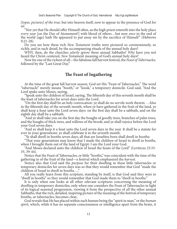*[types, pictures] of the true;* but into heaven itself, now to appear in the presence of God for us:

"Nor yet that He should offer Himself often, as the high priest entereth into the holy place *every year* [on the Day of Atonement!] with blood of others…but now *once* in the end of the world [age] hath He appeared to put away sin by the sacrifice of Himself " (Hebrews 9:21-28).

Do you see how these rich *New Testament* truths were pictured so ceremoniously, so richly, and in such detail, by the accompanying rituals of the annual holy days?

WHY, then, do the churches *utterly ignore* these annual Sabbaths? *Why* have you not heard the Christ-centered, *New* Testament meaning of God's annual holy days?

Now for one of the richest of all—the fabulous fall harvest festival, the *Feast of Tabernacles,*  followed by the "Last Great Day."

## **The Feast of Ingathering**

At the time of the great fall harvest season, God set His "Feast of Tabernacles." The word "tabernacle" merely means "booth," or "kiosk," a temporary domicile. God said, "And the Lord spake unto Moses, saying,

"Speak unto the children of Israel, saying, The fifteenth day of this seventh month shall be the feast of tabernacles for seven days unto the Lord.

"On the first day shall be an holy convocation: ye shall do no servile work therein …Also in the fifteenth day of the seventh month, when ye have gathered in the fruit of the land, ye shall keep a feast unto the Lord seven days: on the first day shall be a sabbath, and on the eighth day shall be a sabbath.

"And ye shall take you on the first day the boughs of goodly trees, branches of palm trees, and the boughs of thick trees, and willows of the brook; and ye shall rejoice before the Lord your God seven days.

"And ye shall keep it a feast unto the Lord seven days in the year. It shall be a statute for ever in your generations: ye shall celebrate it in the seventh month.

"Ye shall dwell in booths seven days; all that are Israelites born shall dwell in booths:

"That your generations may know that I made the children of Israel to dwell in booths, when I brought them out of the land of Egypt: I am the Lord your God.

"And Moses declared unto the children of Israel the feasts of the Lord" (Leviticus 23:33- 35, 39-44).

Notice that the Feast of Tabernacles, or little "booths," was coincident with the time of the gathering in of the fruit of the land—a festival which emphasized the *harvest.* 

Notice also that God said the *purpose* for their dwelling in these little tabernacles or temporary domiciles for seven days was so that they would remember that God "made the children of Israel to dwell in booths…,"

All you really learn from this scripture, standing by itself, is that God said they were to "dwell in booths" so they would remember that God made them to "dwell in booths."

It is only when one looks at all other relevant scriptures concerning the meaning of dwelling in temporary domiciles; only when one considers the Feast of Tabernacles in light of its logical seasonal progression, viewing it from the perspective of *all* the other annual Sabbaths, that the rich, detailed, inspiring picture of the meaning of the festival of temporary booths, or tabernacles, becomes clear,

God reveals that He has placed within each human being the "spirit in man," or the *human spirit,* which, while it has no separate consciousness or intelligence apart from the brain, it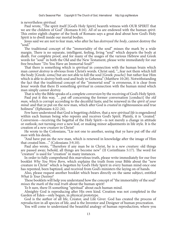is nevertheless *spiritual.* 

Paul wrote, "The spirit itself [God's Holy Spirit] beareth witness with OUR SPIRIT that we are the children of God" (Romans 8:16). *All* of us are endowed with the human *spirit.*  This entire eighth chapter of the book of Romans says a great deal about how God's Holy Spirit is to dwell inside our mortal bodies.

Jesus said we are not to fear man, who after he has *destroyed the body*, cannot destroy the "soul."

The traditional concept of the "immortality of the soul" misses the mark by a wide margin. There is no separate, intelligent, feeling, living "soul" which departs the body at death. For complete proof, and for many of the usages of the various Hebrew and Greek words for "soul" in both the Old and the New Testament, please write immediately for our free brochure ''Do You Have an Immortal Soul?"

That there is something which is *spiritual* in connection with the human brain which man *cannot destroy* is obvious from Christ's words. Christ said, ".,.fear not them which kill the body [Greek: *soma]* but are not able to kill the soul [Greek: *psuche]:* but rather fear Him which is able to *destroy* both soul and body in Gehenna" (Matthew 10:28). Notwithstanding the fact that the traditional concept of the "immortal soul" is erroneous, it is clear from Jesus' words that there IS something *spiritual* in connection with the human mind which man simply *cannot destroy.* 

That is why the Bible speaks of a complete *conversion* by the receiving of God's Holy Spirit.

Paul put it this way, "…put off concerning the former conversation [conduct] the *old man,* which is corrupt according to the deceitful lusts; and be renewed in the *spirit of your mind:* and that ye put on the *new* man, which after God is *created* in righteousness and true holiness" (Ephesians 4:22-24).

Few have understood that God is begetting *children,* that a *new spiritual life* is engendered within each human being who repents and receives God's Spirit. Plainly, it is "created." Conversion—receiving the begettal of the Holy Spirit—is not merely a change in attitude or outlook; not turning over a new leaf, or making minor adjustments in life style. It is the creation of a *new creature* in Christ!

He wrote to the Colossians, "Lie not one to another, seeing that ye have put off the *old man* with his deeds;

"And have put on the *new* man, which is renewed in knowledge after the image of Him that created him…" (Colossians 3:9,10).

Paul also wrote, "Therefore if any man be in Christ, he is a *new creature:* old things are passed away; behold, all things are become new" (II Corinthians 5:17). The word for "creature" is used for "creation" in many instances.

In order to fully comprehend this marvelous truth, please write immediately for our free booklet *Why You Were Born,* which explains the truth from your Bible about the "new creature in Christ" which is begotten by God's Holy Spirit in every human mind once one has repented, been baptized, and received from God's ministers the laying on of hands.

Also, please request another booklet which bears directly on the same subject, entitled *What Is Your Destiny?* 

These booklets will help you understand how the concept of "the immortality of the soul" *misses the mark* of the real *truth* about the human spirit!

To b sure, there IS something "spiritual" about each human mind.

Almighty God is reproducing after His own kind. Creation was not completed in the Garden of Eden—only begun, in physical prototype.

God is the author of all life, Creator, and Life Giver. God has created the process of *reproduction* in all species of life, and is the Inventor and Designer of human procreation.

You will come to understand the beautiful analogy of human reproduction; where you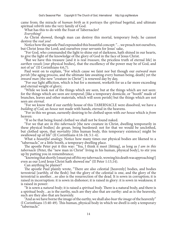came from; the miracle of *human birth* as it portrays the *spiritual* begettal, and ultimate spiritual *rebirth* into the very family of God.

What has this to do with the Feast of Tabernacles?

*Everything!* 

As Christ showed, though man can destroy this mortal, temporary *body*, he cannot destroy the *real you*!

Notice how the apostle Paul expounded this beautiful concept: "…we preach not ourselves, but Christ Jesus the Lord; and ourselves your servants for Jesus' sake,

"For God, who commanded the light to shine out of darkness, hath shined in our hearts, to give the light of the knowledge of the glory of God in the face of Jesus Christ.

"But we have this treasure [and it is real *treasure*, the priceless truth of eternal life] in *earthen vessels* [our physical bodies], that the excellency of the power may be of God, and not of us" (II Corinthians 4:6,7).

Paul went on to explain, "For which cause we faint nor but though our *outward man perish* [the aging process, and the ultimate fate awaiting every human being, death] yet the *inward man* [the new "creature in Christ"] is renewed day by day,

"For our light affliction, which is but for a moment, worketh for us a far more exceeding and eternal weight of glory;

"While we look not of the things which are seen, but at the things which are not seen: for the things which are seen are *temporal*; [like a temporary domicile, or "booth" made of branches, leaves and other materials, which will soon perish] but the things which are not seen are *eternal*.

"For we know that if our earthly house of this TABERNACLE were dissolved, we have a *building of Cod*, an *house* not made with hands, eternal in the heavens.

"For in this we groan, earnestly desiring to be clothed upon with *our house* which is *from* heaven:

"If so be that being found clothed we shall not be found naked.

"For we that are *in this tabernacle* [the new creature in Christ, dwelling temporarily in these physical bodies] do groan, being burdened: not for that we would be unclothed, but clothed upon, that *mortality* [this human body, this temporary existence] might be swallowed up of life" (II Corinthians 4:16-18; 5:1-4).

What a *beautiful analogy.* Notice how many times our physical bodies are likened to a "tabernacle," or a little booth, a temporary dwelling place.

The apostle Peter put it this way: "Yea, I think it meet [fitting], as long as *I am in this tabernacle* (Peter, the "new man in Christ" living in his human, physical body], to stir you up by putting you in remembrance;

"knowing that shortly I must put off *this my tabernacle,* wowing his death was approaching!] even as our Lord Jesus Christ hath showed me" (II Peter 1:13,14).

Can anything be plainer?

The apostle Paul plainly wrote, "There are also celestial [heavenly] bodies, and bodies terrestrial [earthly, of the flesh]: but the glory of the celestial is one, and the glory of the terrestrial is another…so also is the resurrection of the dead. It is sown in corruption; it is raised in incorruption: it is sown in dishonor; it is raised in glory: it is sown in weakness; it is raised in power:

"It is sown a *natural body;* it is raised a *spiritual body.* There is a natural body, and there is a spiritual body…as is the earthy, such are they also that are earthy: and as is the heavenly, such are they also that are heavenly.

"And as we have borne the image of the earthy, we shall also *bear the image* of the heavenly" (I Corinthians 15:40-49). This human, physical body in which we dwell is only a temporary "tabernacle."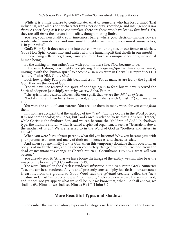While it is a little bizarre to contemplate, what of someone who has lost a limb? That individual, with all his or her character traits, personality, knowledge and intelligence is *still there!* As horrifying *as* it is to contemplate, there are those who have lost *all four limbs.* Yet, they are still *there;* the person is still alive, though missing limbs.

You see, your personality, your innermost being, where your decision-making powers reside, where your deepest and innermost thoughts dwell, where your moral *character* lies, is in your *mind!* 

God's Holy Spirit does not come into our elbow, or our big toe, or our femur or clavicle. God's Holy Spirit comes into, and unites with the human spirit that dwells in our *minds*!

It took living cells to beget you, cause you to be born as a unique, once only, individual human being.

By the uniting of your father's life with your mother's life, YOU became to be.

In the same fashion, by Almighty God placing His life-giving Spirit within a human mind, uniting it with the "human spirit" to become a "new creature in Christ," He reproduces His "children" after HIS, God's, *kind*!

Look how plainly Paul puts this beautiful truth: "For as many as are led by the Spirit of God, they are the sons of God.

"For ye have not received the spirit of bondage again to fear; but ye have received the Spirit of adoption [sonship!], whereby we cry, 'Abba,' Father.

"The Spirit itself beareth witness with our spirit, that we are the *children of God*:

"And if children, then heirs; heirs of God, and joint-heirs with Christ…" (Romans 8:14- 16).

You were the child of your parents. You are like them in many ways, for you came *from* them.

It is no mere accident that the analogy of *family relationships* occurs in the Word of God. It is not some theologians' ideas, but God's own revelation to us that He is our "Father," while Christ is the firstborn Son, and we can become the "children of God." In shadowy type, the invisible church, which is called a spiritual organism, is seen as "Jerusalem above, the mother of us all." We are referred to in the Word of God as "brothers and sisters in Christ."

When you were *born* of your parents, what did you become? Why, you became *you*, with your parents last name, and many of their own likenesses and characteristics.

And when you are finally *born of God*, when this temporary domicile that is your human body is of no further use, and has been completely *changed* by the resurrection from the dead or instantaneous change at Christ's return (I Corinthians 15:50-52), what will you become?

You already read it: "And as we have borne the image of the earthy, we shall also bear the image of the heavenly!" (I Corinthians 15:49).

The word "image" in the Greek is rendered *substance* in the Ivan Panin Greek Numerics Text, and can be so rendered. As you and I presently consist of physical flesh—our substance is earthly, from the ground-so God's Word says the *spiritual* creature, called the "new creature in Christ," is to become *spirit*. John wrote, "Beloved, now are we the sons of God, and it doth not yet appear what we shall be: but we know that, when He shall appear, we shall be *like* Him; for we shall see Him as He is" (I John 3:2).

## **More Beautiful Types and Shadows**

Remember the many shadowy types and analogies we learned concerning the Passover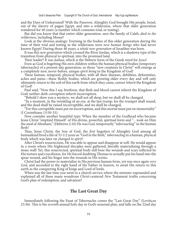and the Days of Unleavened? With the Passover, Almighty God brought His people, Israel, out of the slavery of pagan Egypt, and into a wilderness, where that older generation wandered for 40 years (a number which connotes trial, or testing).

But did you know that that entire older generation, save the family of Caleb, *died in the wilderness*, including Moses?

Look at the obvious analogy: Forming in the bodies of this older generation during the time of their trial and testing in the wilderness were *new human beings* who had never known Egypt! During those 40 years, a *whole new generation* of Israelites was born.

It was this *new generation* which crossed the River Jordan, which is a shadowy type of the transition from physical to spiritual, into the promised land.

Their leader? *It was Joshua*, which is the Hebrew form of the Greek word for *Jesus*!

Even as God is begetting His own children within the human physical bodies (temporary tabernacles) of a present-day generation, so those "new creatures in Christ" will emerge as a completely new, never-before, unique *spirit being* in the Kingdom of God!

These human, temporal, physical bodies, with all their diseases, debilities, deformities, aches and pains—these fleshly bodies, which are growing older every day and will only ultimately return to the soil of this earth from which they came, *cannot inherit* the Kingdom of God!

Paul said, "Now this I say, brethren, that flesh and blood cannot inherit the Kingdom of God; neither doth corruption inherit incorruption.

"Behold I shew you a mystery; we shall not all sleep, but we shall all be changed.

"In a moment, in the twinkling of an eye, at the last trump, for the trumpet shall sound, and the dead shall be raised incorruptible, and we shall be changed,

"For this corruptible must put on incorruption, and this mortal must put on immortality" (I Corinthians 15:50-53).

Now consider another beautiful type: When the member of the Godhead who became Jesus Christ "emptied Himself' of His divine, powerful, spiritual form and "...took on Him the seed of Abraham," (Hebrews 2:16) He was *God*, temporarily "*tabernacling*" in the human flesh!

Thus, Jesus Christ, the Son of God, the *first* begotten of Almighty God among all humankind lived a life of 33 1/2 years as "God in the flesh," *tabernacling* in a human, physical body which was later on *changed to spirit!* 

After Christ's resurrection, He was able to appear and disappear at will. He would appear in a room where His frightened disciples were gathered, literally materializing through a stone wall! Yet, this resurrected, spiritual body still bore the wounds and scars inflicted by His torture and crucifixion, for He forced doubting Thomas to actually put his hand into the spear wound, and his finger into the wounds in His wrists.

Christ had the power to materialize in His previous human form, yet was once again *very God,* and ascended *to* the right hand of the Father in heaven, to await His return to this earth as the conquering King of kings and Lord of lords.

When was the last time you went to a church service where the minister expounded and explained all of these many wondrous *Christ-*centered *New* Testament truths concerning God's plan of redemption, and salvation?

## **The Last Great Day**

Immediately following the Feast of Tabernacles comes the "Last Great Day" (Leviticus 23:36). This is the *seventh* annual holy day in God's seasonal plan, and falls on the 22nd day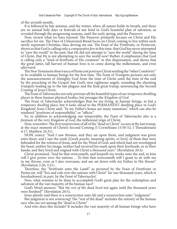of the seventh month,

It is followed by late autumn, and the winter, when all nature holds its breath, and there are *no* annual holy days or festivals of any kind in God's beautiful plan of salvation, as revealed through the progressing seasons, until the early spring, and the Passover.

Now, review what we have learned. The Passover primarily focuses on Christ and His sacrifice for sin. The Days of Unleavened Bread focus on Christ coming to live within each newly repentant Christian, thus driving sin out. The Feast of the Firstfruits, or Pentecost, shows us that God is calling only a comparative *few* at this time, that God has never attempted to "save the world" in the past; that He did not attempt to "save the world" during the time of Christ, that He is not attempting to save the world *now*! Rather, it emphasizes that God is calling only a "kind of firstfruits of His creatures" in this dispensation, and shows that the great latter, fall harvest of human lives is to come during the millennium, and even *afterward.* 

The New Testament observance of Pentecost portrays Christ sending the "other Comforter" to be available to human beings for the first time. The Feast of Trumpets pictures not only the announcements of Almighty God from the time of Christ until the time of the end by the preaching of the Gospel, but God's own righteous angels, sounding the alarming trumpets leading up to the last plagues and the final great trump, announcing the Second Coming of Jesus Christ.

The Feast of Tabernacles not only portrays all the beautiful types of our *temporary* dwelling places in these human physical bodies, but presages the *Kingdom of God*.

The Feast of Tabernacles acknowledges that we are living, as human beings, in but a *temporary dwelling place*, but it *looks ahead* to the PERMANENT dwelling place in God's Kingdom! Jesus Christ said, "In my Father's house are many mansions," which can also be rendered "positions of responsibility," or "offices."

So, in addition to acknowledging our temporality, the Feast of Tabernacles also is a *foretaste* of the very *Kingdom of God*, the millennial reign of Christ.

Now, *remember*: The *first* resurrection of all of the "dead in Christ" occurs at the last trump, at the exact moment of Christ's Second Coming (I Corinthians 15:50-52; I Thessalonians 4:17; Matthew 24:31).

NOW, notice: "And I saw thrones, and they sat upon them, and judgment was given unto them: and I saw the souls [Greek *psuche*, meaning spirits, or lives] of them that were beheaded for the witness of Jesus, and for the Word of God, and which had not worshipped the beast, neither his image, neither had received his mark upon their foreheads, or in their hands; and they lived and reigned with Christ a *thousand years*" (Revelation 20:4).

Christ promised, "And he that overcometh, and keepeth my works unto the end, to him will I give power over the nations ...To him that overcometh will I grant to sit with me in my throne, even as I also overcame, and am set down with my Father in His throne" (Revelation 2:26; 3:21).

Therefore, the "firstfruits unto the Lamb'' as pictured by the Feast of Firstfruits or Pentecost, will "live and rule over the nations with Christ" for one thousand years, which is foreshadowed, in part, by the Feast of Tabernacles!

Now, what remains to be done to accomplish God's great plan for the redemption and salvation of the vast majority of the human race?

God's Word answers: "But *the rest of the dead lived* not again until the thousand years were finished!" (Revelation 20:5),

Jesus plainly said there is a resurrection unto *life* and a resurrection unto ''judgment."

But judgment is not *sentencing*! The "rest of the dead" includes the entirety of the human race who are *not* among the "dead in Christ."

And who does this include? It includes the vast majority of all human beings who have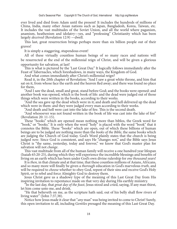ever lived and died from Adam until the present! It includes the hundreds of millions of China, India, many other Asian nations such as Japan, Bangladesh, Korea, Taiwan, etc. It includes the vast multitudes of the Soviet Union, and all the world where paganism, anamism, heathenism and idolatry—yes, and "professing" Christianity which has been largely *deceived* (Revelation 12:9) —dwell.

This last, great resurrection brings perhaps more than six billion people out of their graves!

It is simply a staggering, stupendous event!

All of these virtually countless human beings of so many races and nations will be resurrected at the end of the millennial reign of Christ, and will be given a glorious opportunity for salvation, at last!

This is what is pictured by the 'Last Great Day." It logically follows immediately after the Feast of Tabernacles, which foreshadows, in many ways, the Kingdom of God.

And what comes immediately after Christ's millennial reign?

Read it, in the 20th chapter of Revelation: "And I saw a great white throne, and him that sat on it, from whose face the earth and the heaven fled away; and there was found no place for them,

"And I saw the dead, small and great, stand before God; and the books were opened: and another book was opened, which is the book of life: and the dead were judged out of those things which were written in the books, according to their works.

"And the sea gave up the dead which were in it; and death and hell delivered up the dead which were in them: and they were judged every man according to their works.

"And death and hell were cast into the lake of fire. This is the second death.

"And whosoever was not found written in the book of life was cast into the lake of fire" (Revelation 20: 11-15).

These "books" which are opened mean nothing more than biblos, the Greek word for "book," or "books." It is only when the word "holy" is placed with the word "book" that it connotes the Bible. These "books" which are open, out of which these billions of human beings are to be judged are nothing more than the *books of the Bible*, the same books which are judging the Church of God today. God's Word plainly states that the church is being judged *now*. Since God is consistent, and says He "changes not," and the Bible says Jesus Christ is "the same, yesterday, today and forever," we know that God's master plan for salvation will not *change*.

This vast multitude from all of the human family will receive a one hundred year lifespan (Isaiah 65:20-25), during which they will experience the incredible blessings and benefits of living on an earth which has been under God's own divine rulership for *one thousand years*!

It is *then,* in that climate and at that time, that these countless millions of Asians, Africans, and so many more will finally be given a *thorough* education in God's marvelous *truth*, and will be required to *choose* whether to obey God, repent of their sins and receive God's Holy Spirit, or to rebel and force Almighty God to destroy them.

Jesus Christ gave us a shadowy type of the meaning of this Last Great Day from His inspiring invitation to repentance made on that very day during His earthly ministry.

"In the last day, that *great day of the feast*, Jesus stood and cried, saying, If any man thirst, let him come unto me, and drink.

"He that believeth on me, as the scripture hath said, out of his belly shall flow rivers of living water" (John 7:37,38).

Notice how Jesus made it clear that "*any* man" was being invited to come to Christ! Surely, this open invitation to all, including *Gentiles* presaged the meaning of this Last Great Day.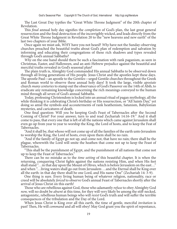The Last Great Day typifies the "Great White Throne Judgment" of the 20th chapter of Revelation.

This *final* annual holy day signifies the *completion* of God's plan, the last great general resurrection and the final destruction of the incorrigibly wicked, and leads directly from the Great White Throne Judgment in Revelation 20 to the "new heavens and new earth" of the last two chapters of your Bible.

Once again we must ask, WHY have you not heard? *Why* have not the Sunday-observing churches preached the beautiful truths about God's plan of redemption and salvation by informing and educating their congregations of these rich shadows and types revealed through God's annual Sabbaths?

*Why* on the one hand should there be such a fascination with rank paganism, as seen in Christmas, Easter, and Halloween, and an anti-Hebrew prejudice against the beautiful and merciful truths revealed in God's seasonal plan?

The plain truth is, Almighty God commanded His annual Sabbaths to be observed down through all living generations of His people. Jesus Christ and the apostles kept these days. The apostle Paul—an apostle to the *Gentiles*—urged Gentile churches throughout the Greek and Roman world to observe these annual holy days! It took the large, visible *apostate*  church *many centuries* to stamp out the observance of God's Passover on the 14th of Abib, to eradicate any remaining knowledge concerning the rich meanings conveyed to the human mind through all seven of God's annual Sabbaths.

Today, professing Christendom is locked into an annual ritual of pagan mythology, all the while thinking it is celebrating Christ's birthday or His resurrection, or "All Saints Day," yet doing so amid the symbols and accouterments of rank heathenism, Satanism, Babylonian mysteries, and caricatures of death.

One final question: Will *you* be keeping God's Feast of Tabernacles after the Second Coming of Christ? For your answer, turn to and read Zechariah 14:16-19:" And it shall come to pass, that every one that is left of all the nations which came against Jerusalem shall even go up from year to year to worship the King, the Lord of hosts, and to keep the Feat of Tabernacles.

"And it shall be, that whoso will not come up of all the families of the earth unto Jerusalem to worship the King, the Lord of hosts, even upon them shall be no rain.

"And if the family of Egypt go not up, and come not, that have no rain; there shall be the plague, wherewith the Lord will smite the heathen that come not up to keep the Feast of Tabernacles.

"This shall be the punishment of Egypt, and the punishment of all nations that come not up to keep the Feast of Tabernacles."

There can be no mistake as to the *time setting* of this beautiful chapter. It is when the returning, conquering Christ fights against the nations resisting Him, and when His feet shall stand "…in that day upon the Mount of Olives, which is before Jerusalem on the east…" and when "…living waters shall go out from Jerusalem …and the Eternal shall be King over all the earth: in that day there shall be one Lord, and His name One" (Zechariah 14: 3-9).

One thing is sure. Every living human being of whatever religion, nationality, race or creed will be absolutely *forced* to observe God's annual Feast of Tabernacles shortly after the arrival of Jesus Christ on this earth!

Those who are rebellious against God, those who adamantly *refuse* to obey Almighty God *now,* will no doubt be *absent* at this time, for they will very likely be among the stiff-necked, antagonistic, rebellious human beings who will *resist* God's truth and will suffer the terrible consequences of the tribulation and the Day of the Lord.

When Jesus Christ is King over all this earth, the time of gentle, merciful *invitation* is past! Then, He will *command* and all will obey! May God grant you the spirit of repentance,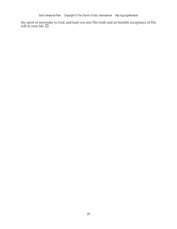the spirit of surrender to *God,* and lead you into His truth and an humble acceptance of His will in your life.  $\Box$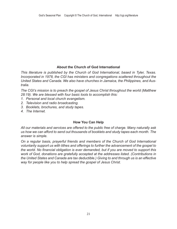#### **About the Church of God International**

*This literature is published by the Church of God International, based in Tyler, Texas. Incorporated in 1978, the CGI has ministers and congregations scattered throughout the United States and Canada. We also have churches in Jamaica, the Philippines, and Australia.* 

*The CGI's mission is to preach the gospel of Jesus Christ throughout the world (Matthew 28:19). We are blessed with four basic tools to accomplish this:* 

- *1. Personal and local church evangelism.*
- *2. Television and radio broadcasting.*
- *3. Booklets, brochures, and study tapes.*
- *4. The Internet.*

#### **How You Can Help**

*All our materials and services are offered to the public free of charge. Many naturally ask us how we can afford to send out thousands of booklets and study tapes each month. The answer is simple.* 

*On a regular basis, prayerful friends and members of the Church of God International voluntarily support us with tithes and offerings to further the advancement of the gospel to the world. No financial obligation is ever demanded, but if you are moved to support this work of God, donations are gratefully accepted at the addresses listed. (Contributions in the United States and Canada are tax deductible.) Giving to and through us is an effective way for people like you to help spread the gospel of Jesus Christ.*